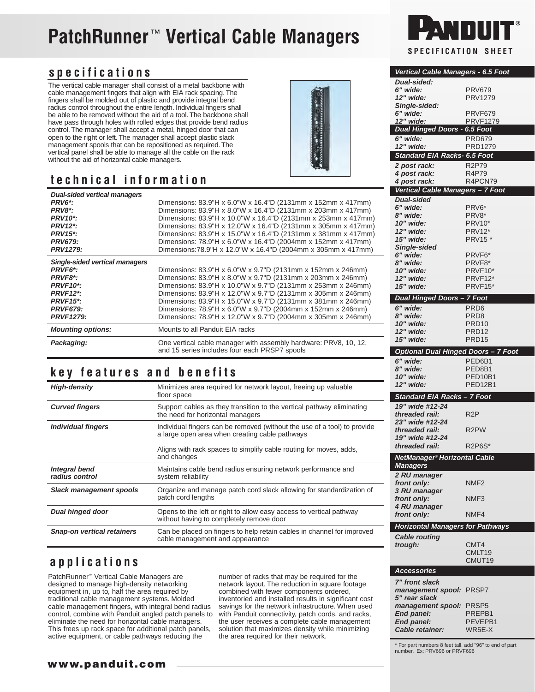# **PatchRunner**™ **Vertical Cable Managers**

### **specifications**

The vertical cable manager shall consist of a metal backbone with cable management fingers that align with EIA rack spacing. The fingers shall be molded out of plastic and provide integral bend radius control throughout the entire length. Individual fingers shall be able to be removed without the aid of a tool. The backbone shall have pass through holes with rolled edges that provide bend radius control. The manager shall accept a metal, hinged door that can open to the right or left. The manager shall accept plastic slack management spools that can be repositioned as required. The vertical panel shall be able to manage all the cable on the rack without the aid of horizontal cable managers.

# **technical information**



### **key features and benefits**

| <b>High-density</b>                    | Minimizes area required for network layout, freeing up valuable<br>floor space                                             |
|----------------------------------------|----------------------------------------------------------------------------------------------------------------------------|
| <b>Curved fingers</b>                  | Support cables as they transition to the vertical pathway eliminating<br>the need for horizontal managers                  |
| Individual fingers                     | Individual fingers can be removed (without the use of a tool) to provide<br>a large open area when creating cable pathways |
|                                        | Aligns with rack spaces to simplify cable routing for moves, adds,<br>and changes                                          |
| <b>Integral bend</b><br>radius control | Maintains cable bend radius ensuring network performance and<br>system reliability                                         |
| <b>Slack management spools</b>         | Organize and manage patch cord slack allowing for standardization of<br>patch cord lengths                                 |
| <b>Dual hinged door</b>                | Opens to the left or right to allow easy access to vertical pathway<br>without having to completely remove door            |
| <b>Snap-on vertical retainers</b>      | Can be placed on fingers to help retain cables in channel for improved<br>cable management and appearance                  |

## **applications**

PatchRunner™ Vertical Cable Managers are designed to manage high-density networking equipment in, up to, half the area required by traditional cable management systems. Molded cable management fingers, with integral bend radius control, combine with Panduit angled patch panels to eliminate the need for horizontal cable managers. This frees up rack space for additional patch panels, active equipment, or cable pathways reducing the

number of racks that may be required for the network layout. The reduction in square footage combined with fewer components ordered, inventoried and installed results in significant cost savings for the network infrastructure. When used with Panduit connectivity, patch cords, and racks, the user receives a complete cable management solution that maximizes density while minimizing the area required for their network.



| Vertical Cable Managers - 6.5 Foot         |                                        |
|--------------------------------------------|----------------------------------------|
| <b>Dual-sided:</b>                         |                                        |
| 6" wide:                                   | <b>PRV679</b>                          |
| 12" wide:                                  | PRV1279                                |
| Single-sided:<br>6" wide:                  | PRVF679                                |
| 12" wide:                                  | <b>PRVF1279</b>                        |
| <b>Dual Hinged Doors - 6.5 Foot</b>        |                                        |
| 6" wide:                                   | <b>PRD679</b>                          |
| 12" wide:                                  | PRD1279                                |
| Standard EIA Racks- 6.5 Foot               |                                        |
|                                            | <b>R2P79</b>                           |
| 2 post rack:<br>4 post rack:               | R4P79                                  |
| 4 post rack:                               | R4PCN79                                |
| Vertical Cable Managers - 7 Foot           |                                        |
| <b>Dual-sided</b>                          |                                        |
| 6" wide:                                   | PRV6*                                  |
| 8" wide:                                   | PRV8*                                  |
| 10" wide:                                  | PRV10*                                 |
| 12" wide:                                  | <b>PRV12*</b>                          |
| 15" wide:                                  | <b>PRV15 *</b>                         |
| <b>Single-sided</b>                        |                                        |
| 6" wide:                                   | PRVF <sub>6</sub> *                    |
| 8" wide:                                   | PRVF8*                                 |
| 10" wide:                                  | PRVF10*                                |
| 12" wide:<br>15" wide:                     | PRVF12*<br>PRVF15*                     |
|                                            |                                        |
| <b>Dual Hinged Doors - 7 Foot</b>          |                                        |
| 6" wide:                                   | PRD <sub>6</sub>                       |
| 8" wide:                                   | PRD8                                   |
| 10" wide:                                  | PRD <sub>10</sub>                      |
| 12" wide:                                  | PRD <sub>12</sub><br>PRD <sub>15</sub> |
| 15" wide:                                  |                                        |
| <b>Optional Dual Hinged Doors - 7 Foot</b> |                                        |
|                                            |                                        |
| 6" wide:                                   | PED6B1                                 |
| 8" wide:                                   | PED8B1                                 |
| 10" wide:                                  | PED10B1                                |
| 12" wide:                                  | <b>PED12B1</b>                         |
| Standard EIA Racks - 7 Foot                |                                        |
| 19" wide #12-24                            |                                        |
| threaded rail:                             | R <sub>2</sub> P                       |
| 23" wide #12-24                            |                                        |
| threaded rail:                             | R <sub>2</sub> PW                      |
| 19" wide #12-24                            |                                        |
| threaded rail:                             | <b>R2P6S*</b>                          |
| NetManager® Horizontal Cable               |                                        |
| <b>Managers</b>                            |                                        |
| 2 RU manager                               |                                        |
| front only:                                | NMF <sub>2</sub>                       |
| 3 RU manager                               |                                        |
| front only:                                | NMF3                                   |
| 4 RU manager                               | NMF4                                   |
| front only:                                |                                        |
| <b>Horizontal Managers for Pathways</b>    |                                        |
| <b>Cable routing</b>                       |                                        |
| trough:                                    | CMT4                                   |
|                                            | CMLT19                                 |
|                                            | CMUT19                                 |
| <b>Accessories</b>                         |                                        |
| 7" front slack                             |                                        |
| management spool:                          | PRSP7                                  |
| 5" rear slack                              |                                        |
| management spool:                          | PRSP <sub>5</sub>                      |
| End panel:                                 | PREPB1                                 |
| End panel:<br>Cable retainer:              | PEVEPB1<br>WR5E-X                      |

\* For part numbers 8 feet tall, add "96" to end of part number. Ex: PRV696 or PRVF696